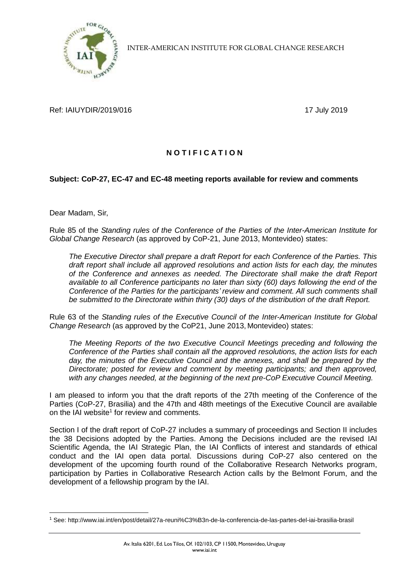

INTER-AMERICAN INSTITUTE FOR GLOBAL CHANGE RESEARCH

Ref: IAIUYDIR/2019/016 17 July 2019

## **N O T I F I C A T I O N**

## **Subject: CoP-27, EC-47 and EC-48 meeting reports available for review and comments**

Dear Madam, Sir,

Rule 85 of the *Standing rules of the Conference of the Parties of the Inter-American Institute for Global Change Research* (as approved by CoP-21, June 2013, Montevideo) states:

*The Executive Director shall prepare a draft Report for each Conference of the Parties. This draft report shall include all approved resolutions and action lists for each day, the minutes of the Conference and annexes as needed. The Directorate shall make the draft Report available to all Conference participants no later than sixty (60) days following the end of the Conference of the Parties for the participants' review and comment. All such comments shall be submitted to the Directorate within thirty (30) days of the distribution of the draft Report.*

Rule 63 of the *Standing rules of the Executive Council of the Inter-American Institute for Global Change Research* (as approved by the CoP21, June 2013, Montevideo) states:

*The Meeting Reports of the two Executive Council Meetings preceding and following the Conference of the Parties shall contain all the approved resolutions, the action lists for each day, the minutes of the Executive Council and the annexes, and shall be prepared by the Directorate; posted for review and comment by meeting participants; and then approved, with any changes needed, at the beginning of the next pre-CoP Executive Council Meeting.*

I am pleased to inform you that the draft reports of the 27th meeting of the Conference of the Parties (CoP-27, Brasilia) and the 47th and 48th meetings of the Executive Council are available on the IAI website<sup>1</sup> for review and comments.

Section I of the draft report of CoP-27 includes a summary of proceedings and Section II includes the 38 Decisions adopted by the Parties. Among the Decisions included are the revised IAI Scientific Agenda, the IAI Strategic Plan, the IAI Conflicts of interest and standards of ethical conduct and the IAI open data portal. Discussions during CoP-27 also centered on the development of the upcoming fourth round of the Collaborative Research Networks program, participation by Parties in Collaborative Research Action calls by the Belmont Forum, and the development of a fellowship program by the IAI.

<sup>1</sup> <sup>1</sup> See: http://www.iai.int/en/post/detail/27a-reuni%C3%B3n-de-la-conferencia-de-las-partes-del-iai-brasilia-brasil